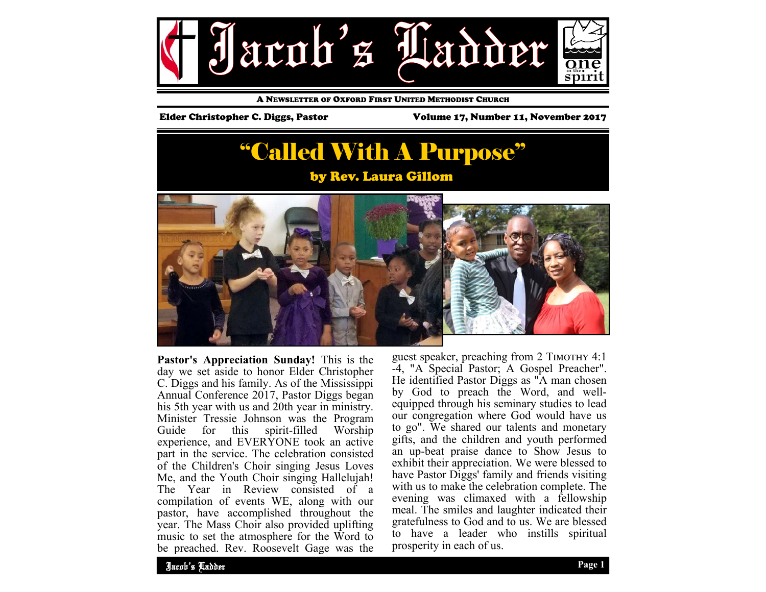

A NEWSLETTER OF OXFORD FIRST UNITED METHODIST CHURCH

Elder Christopher C. Diggs, Pastor Volume 17, Number 11, November 2017

# "Called With A Purpose"





**Pastor's Appreciation Sunday!** This is the day we set aside to honor Elder Christopher C. Diggs and his family. As of the Mississippi Annual Conference 2017, Pastor Diggs began his 5th year with us and 20th year in ministry. Minister Tressie Johnson was the Program<br>Guide for this spirit-filled Worship for this spirit-filled Worship experience, and EVERYONE took an active part in the service. The celebration consisted of the Children's Choir singing Jesus Loves Me, and the Youth Choir singing Hallelujah! The Year in Review consisted of a compilation of events WE, along with our pastor, have accomplished throughout the year. The Mass Choir also provided uplifting music to set the atmosphere for the Word to be preached. Rev. Roosevelt Gage was the

guest speaker, preaching from 2 TIMOTHY 4:1 -4, "A Special Pastor; A Gospel Preacher". He identified Pastor Diggs as "A man chosen by God to preach the Word, and wellequipped through his seminary studies to lead our congregation where God would have us to go". We shared our talents and monetary gifts, and the children and youth performed an up-beat praise dance to Show Jesus to exhibit their appreciation. We were blessed to have Pastor Diggs' family and friends visiting with us to make the celebration complete. The evening was climaxed with a fellowship meal. The smiles and laughter indicated their gratefulness to God and to us. We are blessed to have a leader who instills spiritual prosperity in each of us.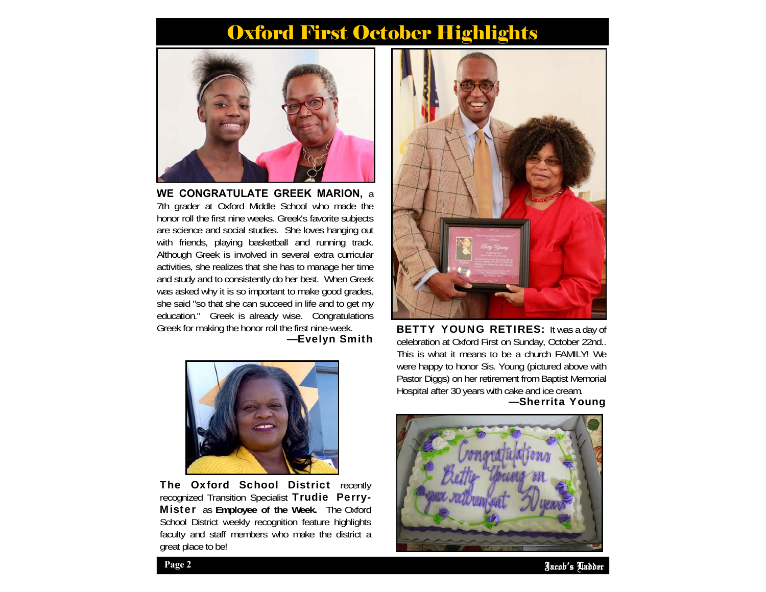## Oxford First October Highlights



**WE CONGRATULATE GREEK MARION,** <sup>a</sup> 7th grader at Oxford Middle School who made the honor roll the first nine weeks. Greek's favorite subjects are science and social studies. She loves hanging out with friends, playing basketball and running track. Although Greek is involved in several extra curricular activities, she realizes that she has to manage her time and study and to consistently do her best. When Greek was asked why it is so important to make good grades, she said "so that she can succeed in life and to get my education." Greek is already wise. Congratulations Greek for making the honor roll the first nine-week.

—Evelyn Smith



The Oxford School District recently recognized Transition Specialist Trudie Perry-Mister as **Employee of the Week.** The Oxford School District weekly recognition feature highlights faculty and staff members who make the district a great place to be!



**BETTY YOUNG RETIRES:** It was a day of celebration at Oxford First on Sunday, October 22nd.. This is what it means to be a church FAMILY! We were happy to honor Sis. Young (pictured above with Pastor Diggs) on her retirement from Baptist Memorial Hospital after 30 years with cake and ice cream.

### —Sherrita Young



Jacob's Ladder **Page 2**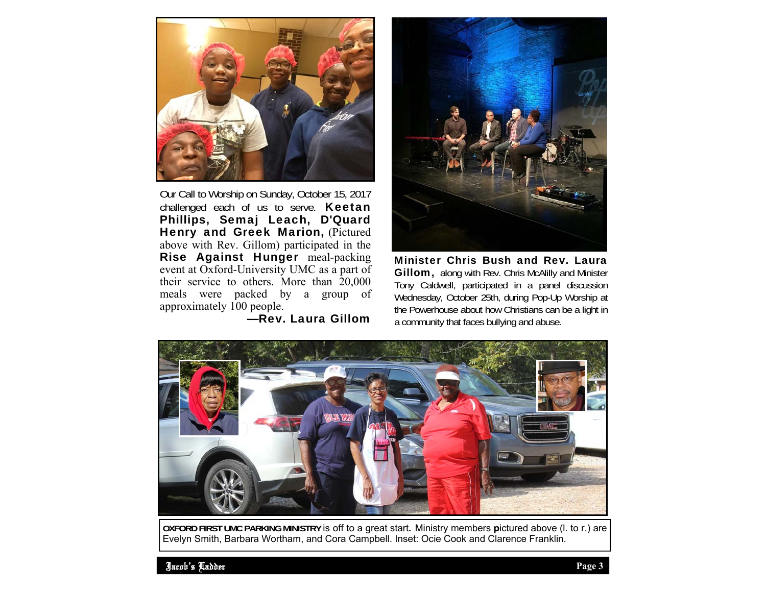

Our Call to Worship on Sunday, October 15, 2017 challenged each of us to serve. **Keetan** Phillips, Semaj Leach, D'Quard Henry and Greek Marion, (Pictured above with Rev. Gillom) participated in the Rise Against Hunger meal-packing event at Oxford-University UMC as a part of their service to others. More than 20,000 meals were packed by a group of approximately 100 people.

### —Rev. Laura Gillom



Minister Chris Bush and Rev. Laura Gillom, along with Rev. Chris McAlilly and Minister Tony Caldwell, participated in a panel discussion Wednesday, October 25th, during Pop-Up Worship at the Powerhouse about how Christians can be a light in a community that faces bullying and abuse.



**OXFORD FIRST UMC PARKING MINISTRY** is off to a great start**.** Ministry members **p**ictured above (l. to r.) are Evelyn Smith, Barbara Wortham, and Cora Campbell. Inset: Ocie Cook and Clarence Franklin.